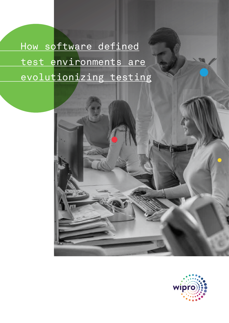How software defined test environments are evolutionizing testing

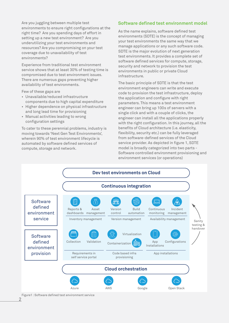Are you juggling between multiple test **Software defined test environment model** environments to ensure right configurations at the right time? Are you spending days of effort in setting up a new test environment? Are you underutilizing your test environments and resources? Are you compromising on your test coverage due to unavailability of test environments?

Experience from traditional test environment service shows that at least 30% of testing time is compromised due to test environment issues. There are numerous gaps preventing higher availability of test environments.

Few of these gaps are

- Unavailable/reduced infrastructure components due to high capital expenditure
- Higher dependence on physical infrastructure and long lead time for provisioning
- Manual activities leading to wrong configuration settings

To cater to these perennial problems, industry is moving towards 'Next Gen Test Environments', wherein 90% of test environment lifecycle is automated by software defined services of compute, storage and network.

As the name explains, software defined test environments (SDTE) is the concept of managing your test environments the same way that we manage applications or any such software code. SDTE is the major evolution of next generation test environments. It provides a complete set of software defined services for compute, storage, security and network to provision the test environments in public or private Cloud infrastructure.

The basic principle of SDTE is that the test environment engineers can write and execute code to provision the test infrastructure, deploy the application and configure with right parameters. This means a test environment engineer can bring up 100s of servers with a single click and with a couple of clicks, the engineer can install all the applications properly with the right configuration. In this journey, all the benefits of Cloud architecture (i.e. elasticity, flexibility, security etc.) can be fully leveraged from software-defined services of the Cloud service provider. As depicted in figure 1, SDTE model is broadly categorized into two parts - Software controlled environment provisioning and environment services (or operations)



Figure1 : Software defined test environment service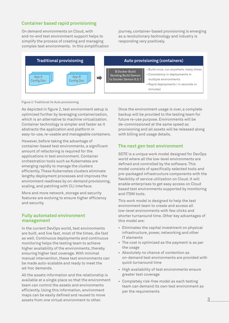# **Container based rapid provisioning**

On demand environments on Cloud, with end-to-end test environment support helps to simplify the process of creating and managing complex test environments. In this simplification journey, container-based provisioning is emerging as a revolutionary technology and industry is responding very positively.



Figure 2: Traditional Vs Auto provisioning

As depicted in figure 2, test environment setup is optimized further by leveraging containerization, which is an alternative to machine virtualization. Container technology is simpler and faster as it abstracts the application and platform in easy-to-use, re-usable and manageable containers.

However, before taking the advantage of container-based test environments, a significant amount of refactoring is required for the applications in test environment. Container orchestration tools such as Kubernetes are emerging rapidly to manage the clusters efficiently. These Kubernetes clusters eliminate lengthy deployment processes and improves the environment readiness by on-demand provisioning, scaling, and patching with CLI interface.

More and more network, storage and security features are evolving to ensure higher efficiency and security.

### **Fully automated environment management**

In the current DevOps world, test environments are built, and live fast, most of the times, die fast as well. Continuous deployments and continuous monitoring helps the testing team to achieve higher availability of the environments, thereby ensuring higher test coverage. With minimal manual intervention, these test environments can be made auto-scalable and ready to meet the ad-hoc demands.

All the assets information and the relationship is available at a single place so that the environment team can control the assets and environments efficiently. Using this information, environment maps can be easily defined and reused to move assets from one virtual environment to other.

Once the environment usage is over, a complete backup will be provided to the testing team for future re-use purpose. Environments will be de-commissioned at the same speed as provisioning and all assets will be released along with billing and usage details.

# **The next gen test environment**

SDTE is a unique work model designed for DevOps world where all the low-level environments are defined and controlled by the software. This model consists of specifically selected tools and pre-packaged infrastructure components with the flexibility of service utilization on Cloud. It will enable enterprises to get easy access on Cloud based test environments supported by monitoring and ITSM tools.

This work model is designed to help the test environment team to create and access all low-level environments with few clicks and shorter turnaround time. Other key advantages of this model are:

- Eliminates the capital investment on physical infrastructure, power, networking and other IT elements
- The cost is optimized as the payment is as per the usage
- Absolutely no chance of contention as on-demand test environments are provided with quick turnaround time
- High availability of test environments ensure greater test coverage
- Completely risk-free model as each testing team can demand its own test environment as per the requirements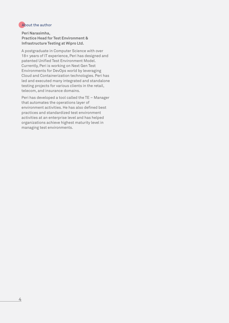## About the author

**Peri Narasimha, Practice Head for Test Environment & Infrastructure Testing at Wipro Ltd.**

A postgraduate in Computer Science with over 18+ years of IT experience, Peri has designed and patented Unified Test Environment Model. Currently, Peri is working on Next Gen Test Environments for DevOps world by leveraging Cloud and Containerization technologies. Peri has led and executed many integrated and standalone testing projects for various clients in the retail, telecom, and insurance domains.

Peri has developed a tool called the TE – Manager that automates the operations layer of environment activities. He has also defined best practices and standardized test environment activities at an enterprise level and has helped organizations achieve highest maturity level in managing test environments.